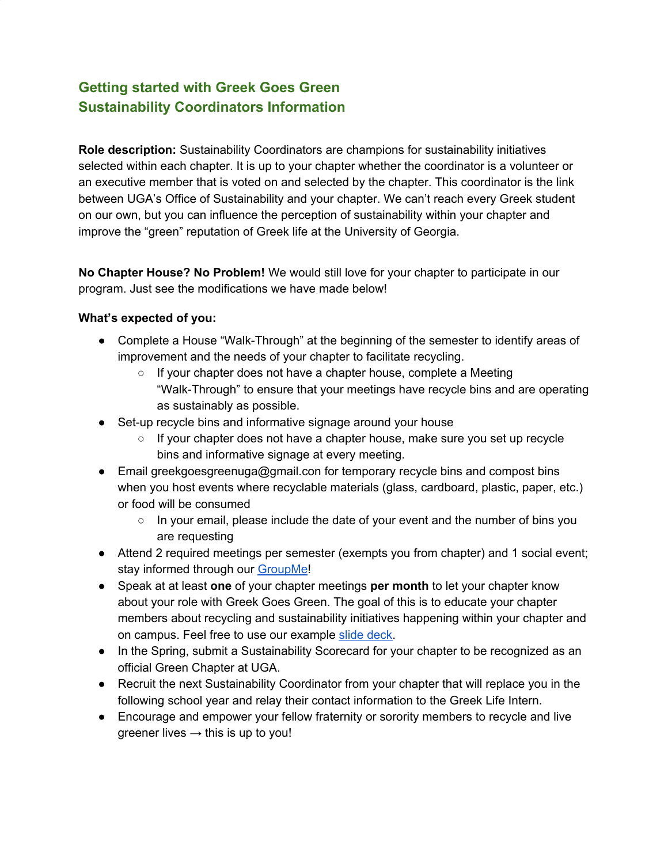# **Getting started with Greek Goes Green Sustainability Coordinators Information**

**Role description:** Sustainability Coordinators are champions for sustainability initiatives selected within each chapter. It is up to your chapter whether the coordinator is a volunteer or an executive member that is voted on and selected by the chapter. This coordinator is the link between UGA's Office of Sustainability and your chapter. We can't reach every Greek student on our own, but you can influence the perception of sustainability within your chapter and improve the "green" reputation of Greek life at the University of Georgia.

**No Chapter House? No Problem!** We would still love for your chapter to participate in our program. Just see the modifications we have made below!

# **What's expected of you:**

- Complete a House "Walk-Through" at the beginning of the semester to identify areas of improvement and the needs of your chapter to facilitate recycling.
	- If your chapter does not have a chapter house, complete a Meeting "Walk-Through" to ensure that your meetings have recycle bins and are operating as sustainably as possible.
- Set-up recycle bins and informative signage around your house
	- $\circ$  If your chapter does not have a chapter house, make sure you set up recycle bins and informative signage at every meeting.
- Email greekgoesgreenuga@gmail.con for temporary recycle bins and compost bins when you host events where recyclable materials (glass, cardboard, plastic, paper, etc.) or food will be consumed
	- $\circ$  In your email, please include the date of your event and the number of bins you are requesting
- Attend 2 required meetings per semester (exempts you from chapter) and 1 social event; stay informed through our **[GroupMe](https://groupme.com/join_group/42835241/AZboEo)!**
- Speak at at least **one** of your chapter meetings **per month** to let your chapter know about your role with Greek Goes Green. The goal of this is to educate your chapter members about recycling and sustainability initiatives happening within your chapter and on campus. Feel free to use our example slide [deck.](https://docs.google.com/presentation/d/1g5VPhE_jR1rziE5sSlifgXdRNn-_umpbbbaMJx7eA-Q/edit?usp=sharing)
- In the Spring, submit a Sustainability Scorecard for your chapter to be recognized as an official Green Chapter at UGA.
- Recruit the next Sustainability Coordinator from your chapter that will replace you in the following school year and relay their contact information to the Greek Life Intern.
- Encourage and empower your fellow fraternity or sorority members to recycle and live greener lives  $\rightarrow$  this is up to you!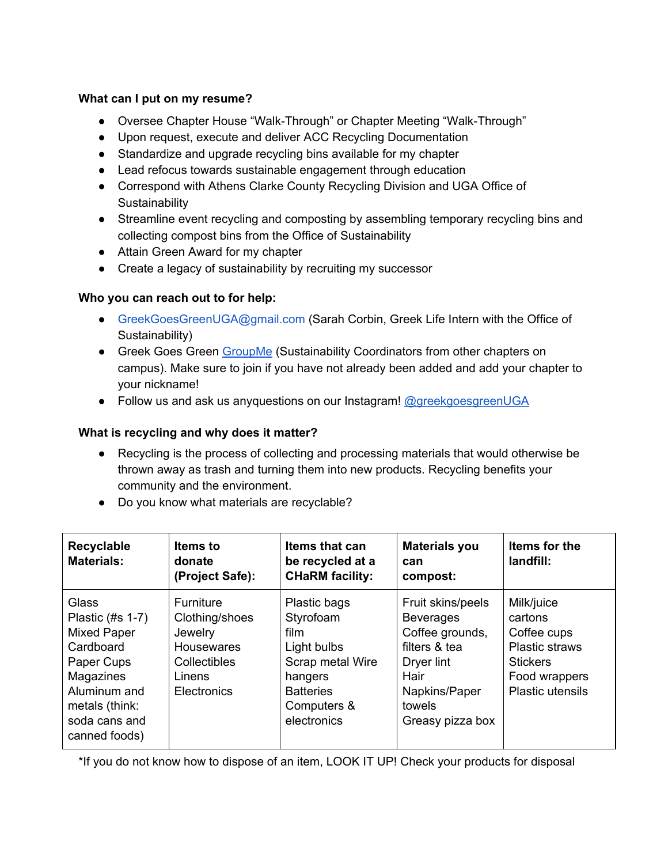#### **What can I put on my resume?**

- Oversee Chapter House "Walk-Through" or Chapter Meeting "Walk-Through"
- Upon request, execute and deliver ACC Recycling Documentation
- Standardize and upgrade recycling bins available for my chapter
- Lead refocus towards sustainable engagement through education
- Correspond with Athens Clarke County Recycling Division and UGA Office of **Sustainability**
- Streamline event recycling and composting by assembling temporary recycling bins and collecting compost bins from the Office of Sustainability
- Attain Green Award for my chapter
- Create a legacy of sustainability by recruiting my successor

# **Who you can reach out to for help:**

- GreekGoesGreenUGA@gmail.com (Sarah Corbin, Greek Life Intern with the Office of Sustainability)
- Greek Goes Green [GroupMe](https://groupme.com/join_group/42835241/AZboEo) (Sustainability Coordinators from other chapters on campus). Make sure to join if you have not already been added and add your chapter to your nickname!
- Follow us and ask us anyquestions on our Instagram! [@greekgoesgreenUGA](https://www.instagram.com/greekgoesgreenuga/)

# **What is recycling and why does it matter?**

- Recycling is the process of collecting and processing materials that would otherwise be thrown away as trash and turning them into new products. Recycling benefits your community and the environment.
- Do you know what materials are recyclable?

| <b>Recyclable</b><br><b>Materials:</b>                                                                                                                      | <b>Items to</b><br>donate<br>(Project Safe):                                                                | Items that can<br>be recycled at a<br><b>CHaRM facility:</b>                                                                      | <b>Materials you</b><br>can<br>compost:                                                                                                        | Items for the<br>landfill:                                                                                                   |
|-------------------------------------------------------------------------------------------------------------------------------------------------------------|-------------------------------------------------------------------------------------------------------------|-----------------------------------------------------------------------------------------------------------------------------------|------------------------------------------------------------------------------------------------------------------------------------------------|------------------------------------------------------------------------------------------------------------------------------|
| Glass<br>Plastic (#s 1-7)<br><b>Mixed Paper</b><br>Cardboard<br>Paper Cups<br>Magazines<br>Aluminum and<br>metals (think:<br>soda cans and<br>canned foods) | <b>Furniture</b><br>Clothing/shoes<br>Jewelry<br><b>Housewares</b><br>Collectibles<br>Linens<br>Electronics | Plastic bags<br>Styrofoam<br>film<br>Light bulbs<br>Scrap metal Wire<br>hangers<br><b>Batteries</b><br>Computers &<br>electronics | Fruit skins/peels<br><b>Beverages</b><br>Coffee grounds,<br>filters & tea<br>Dryer lint<br>Hair<br>Napkins/Paper<br>towels<br>Greasy pizza box | Milk/juice<br>cartons<br>Coffee cups<br><b>Plastic straws</b><br><b>Stickers</b><br>Food wrappers<br><b>Plastic utensils</b> |

\*If you do not know how to dispose of an item, LOOK IT UP! Check your products for disposal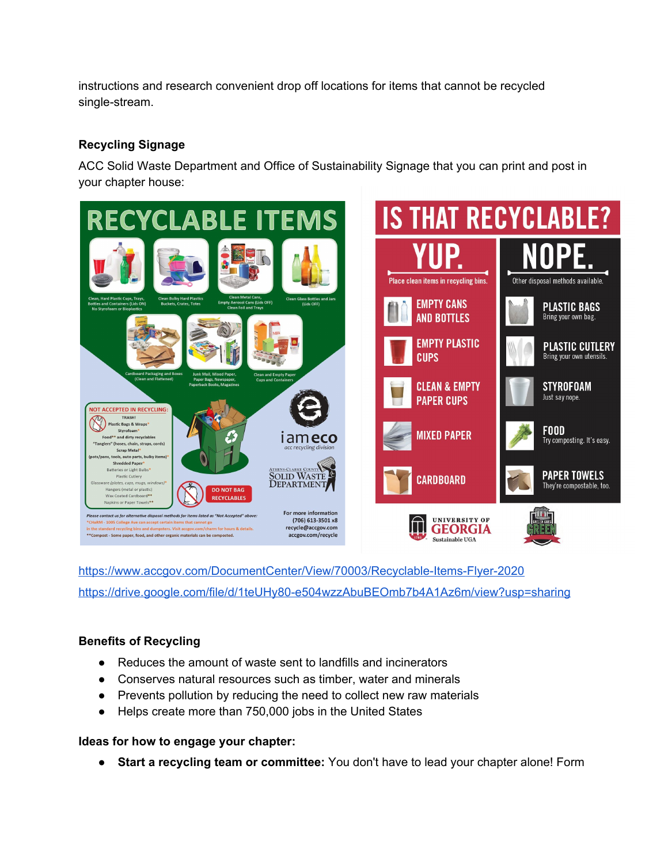instructions and research convenient drop off locations for items that cannot be recycled single-stream.

# **Recycling Signage**

ACC Solid Waste Department and Office of Sustainability Signage that you can print and post in your chapter house:



<https://www.accgov.com/DocumentCenter/View/70003/Recyclable-Items-Flyer-2020> <https://drive.google.com/file/d/1teUHy80-e504wzzAbuBEOmb7b4A1Az6m/view?usp=sharing>

# **Benefits of Recycling**

- Reduces the amount of waste sent to landfills and incinerators
- Conserves natural resources such as timber, water and minerals
- Prevents pollution by reducing the need to collect new raw materials
- Helps create more than 750,000 jobs in the United States

# **Ideas for how to engage your chapter:**

● **Start a recycling team or committee:** You don't have to lead your chapter alone! Form